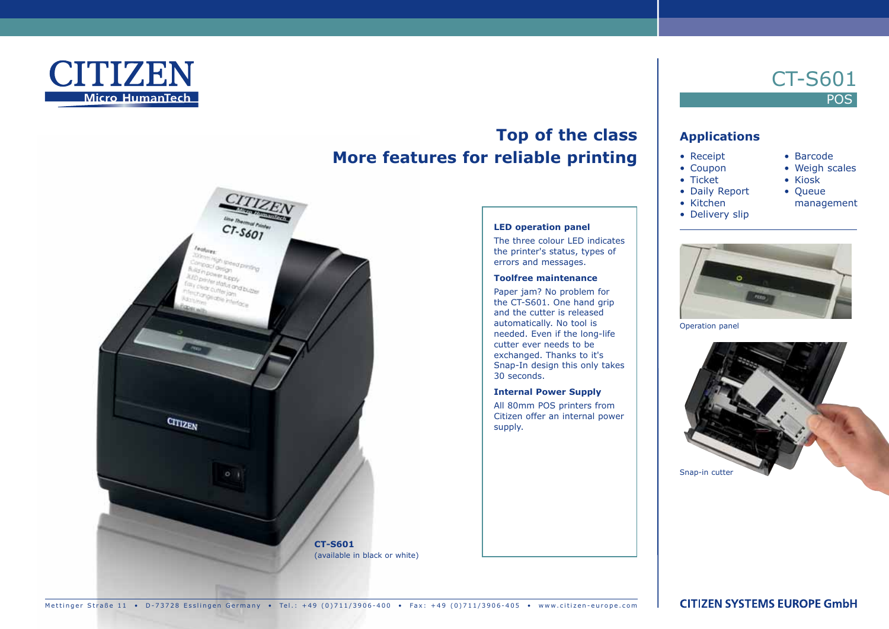

# **Top of the class More features for reliable printing**



### **LED operation panel**

The three colour LED indicates the printer's status, types of errors and messages.

#### **Toolfree maintenance**

Paper jam? No problem for the CT-S601. One hand grip and the cutter is released automatically. No tool is needed. Even if the long-life cutter ever needs to be exchanged. Thanks to it's Snap-In design this only takes 30 seconds.

#### **Internal Power Supply**

All 80mm POS printers from Citizen offer an internal power supply.

## **Applications**

- Receipt
- Coupon

CT-S601

• Barcode • Weigh scales • Kiosk • Queue

management

**POS** 

- Ticket
- Daily Report
- Kitchen
- Delivery slip



Operation panel



Mettinger Straße 11 • D-73728 Esslingen Germany • Tel.: +49 (0)711/3906-400 • Fax: +49 (0)711/3906-405 • www.citizen-europe.com